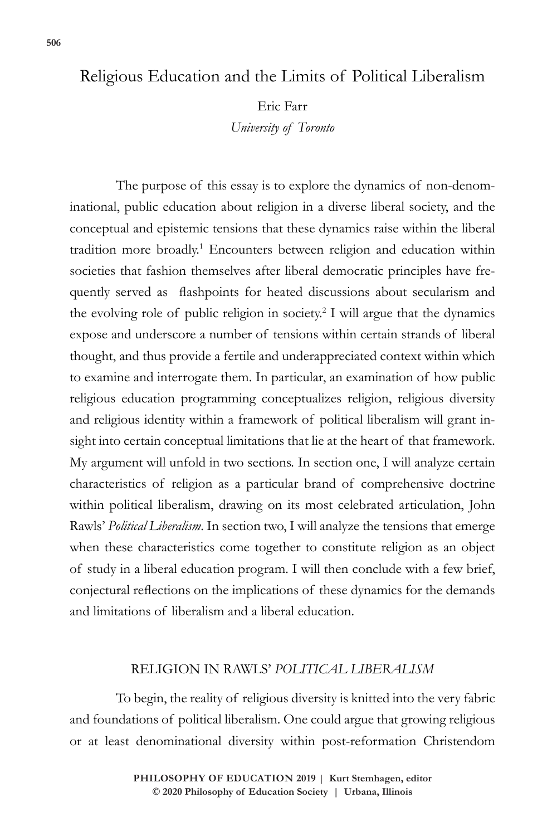## Religious Education and the Limits of Political Liberalism

Eric Farr

*University of Toronto*

The purpose of this essay is to explore the dynamics of non-denominational, public education about religion in a diverse liberal society, and the conceptual and epistemic tensions that these dynamics raise within the liberal tradition more broadly.<sup>1</sup> Encounters between religion and education within societies that fashion themselves after liberal democratic principles have frequently served as flashpoints for heated discussions about secularism and the evolving role of public religion in society.<sup>2</sup> I will argue that the dynamics expose and underscore a number of tensions within certain strands of liberal thought, and thus provide a fertile and underappreciated context within which to examine and interrogate them. In particular, an examination of how public religious education programming conceptualizes religion, religious diversity and religious identity within a framework of political liberalism will grant insight into certain conceptual limitations that lie at the heart of that framework. My argument will unfold in two sections. In section one, I will analyze certain characteristics of religion as a particular brand of comprehensive doctrine within political liberalism, drawing on its most celebrated articulation, John Rawls' *Political Liberalism*. In section two, I will analyze the tensions that emerge when these characteristics come together to constitute religion as an object of study in a liberal education program. I will then conclude with a few brief, conjectural reflections on the implications of these dynamics for the demands and limitations of liberalism and a liberal education.

## RELIGION IN RAWLS' *POLITICAL LIBERALISM*

To begin, the reality of religious diversity is knitted into the very fabric and foundations of political liberalism. One could argue that growing religious or at least denominational diversity within post-reformation Christendom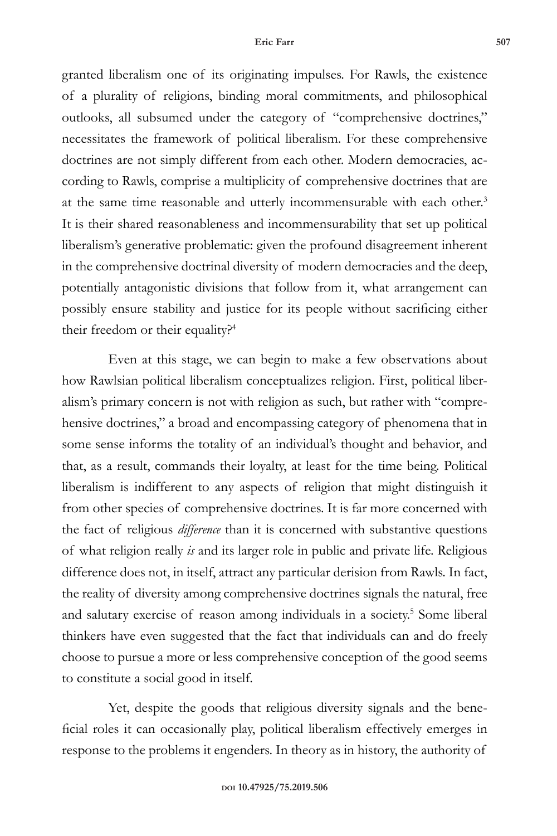granted liberalism one of its originating impulses. For Rawls, the existence of a plurality of religions, binding moral commitments, and philosophical outlooks, all subsumed under the category of "comprehensive doctrines," necessitates the framework of political liberalism. For these comprehensive doctrines are not simply different from each other. Modern democracies, according to Rawls, comprise a multiplicity of comprehensive doctrines that are at the same time reasonable and utterly incommensurable with each other.<sup>3</sup> It is their shared reasonableness and incommensurability that set up political liberalism's generative problematic: given the profound disagreement inherent in the comprehensive doctrinal diversity of modern democracies and the deep, potentially antagonistic divisions that follow from it, what arrangement can possibly ensure stability and justice for its people without sacrificing either their freedom or their equality?<sup>4</sup>

Even at this stage, we can begin to make a few observations about how Rawlsian political liberalism conceptualizes religion. First, political liberalism's primary concern is not with religion as such, but rather with "comprehensive doctrines," a broad and encompassing category of phenomena that in some sense informs the totality of an individual's thought and behavior, and that, as a result, commands their loyalty, at least for the time being. Political liberalism is indifferent to any aspects of religion that might distinguish it from other species of comprehensive doctrines. It is far more concerned with the fact of religious *difference* than it is concerned with substantive questions of what religion really *is* and its larger role in public and private life. Religious difference does not, in itself, attract any particular derision from Rawls. In fact, the reality of diversity among comprehensive doctrines signals the natural, free and salutary exercise of reason among individuals in a society.<sup>5</sup> Some liberal thinkers have even suggested that the fact that individuals can and do freely choose to pursue a more or less comprehensive conception of the good seems to constitute a social good in itself.

Yet, despite the goods that religious diversity signals and the beneficial roles it can occasionally play, political liberalism effectively emerges in response to the problems it engenders. In theory as in history, the authority of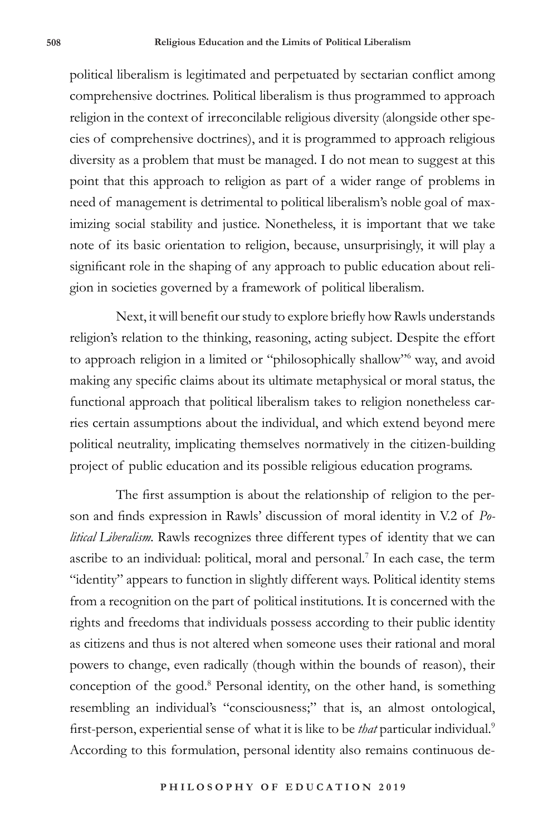political liberalism is legitimated and perpetuated by sectarian conflict among comprehensive doctrines. Political liberalism is thus programmed to approach religion in the context of irreconcilable religious diversity (alongside other species of comprehensive doctrines), and it is programmed to approach religious diversity as a problem that must be managed. I do not mean to suggest at this point that this approach to religion as part of a wider range of problems in need of management is detrimental to political liberalism's noble goal of maximizing social stability and justice. Nonetheless, it is important that we take note of its basic orientation to religion, because, unsurprisingly, it will play a significant role in the shaping of any approach to public education about religion in societies governed by a framework of political liberalism.

Next, it will benefit our study to explore briefly how Rawls understands religion's relation to the thinking, reasoning, acting subject. Despite the effort to approach religion in a limited or "philosophically shallow"<sup>6</sup> way, and avoid making any specific claims about its ultimate metaphysical or moral status, the functional approach that political liberalism takes to religion nonetheless carries certain assumptions about the individual, and which extend beyond mere political neutrality, implicating themselves normatively in the citizen-building project of public education and its possible religious education programs.

The first assumption is about the relationship of religion to the person and finds expression in Rawls' discussion of moral identity in V.2 of *Political Liberalism.* Rawls recognizes three different types of identity that we can ascribe to an individual: political, moral and personal.<sup>7</sup> In each case, the term "identity" appears to function in slightly different ways. Political identity stems from a recognition on the part of political institutions. It is concerned with the rights and freedoms that individuals possess according to their public identity as citizens and thus is not altered when someone uses their rational and moral powers to change, even radically (though within the bounds of reason), their conception of the good.<sup>8</sup> Personal identity, on the other hand, is something resembling an individual's "consciousness;" that is, an almost ontological, first-person, experiential sense of what it is like to be *that* particular individual.9 According to this formulation, personal identity also remains continuous de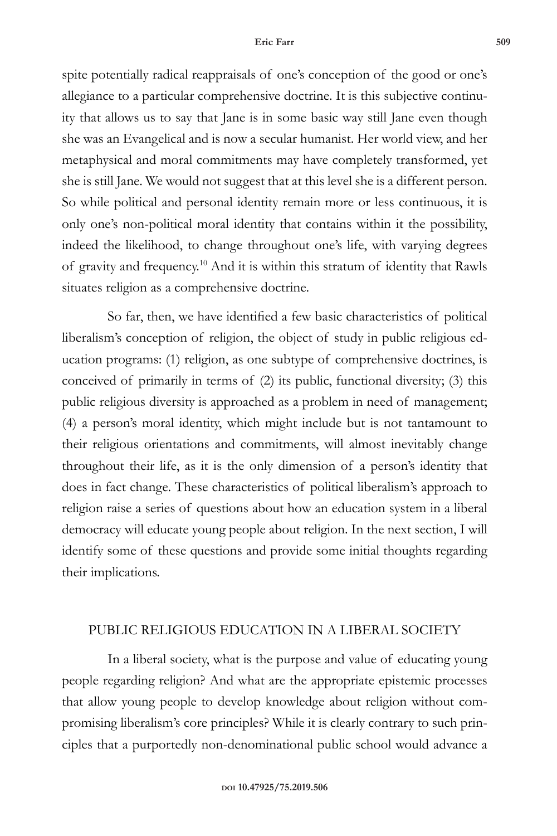spite potentially radical reappraisals of one's conception of the good or one's allegiance to a particular comprehensive doctrine. It is this subjective continuity that allows us to say that Jane is in some basic way still Jane even though she was an Evangelical and is now a secular humanist. Her world view, and her metaphysical and moral commitments may have completely transformed, yet she is still Jane. We would not suggest that at this level she is a different person. So while political and personal identity remain more or less continuous, it is only one's non-political moral identity that contains within it the possibility, indeed the likelihood, to change throughout one's life, with varying degrees of gravity and frequency.10 And it is within this stratum of identity that Rawls situates religion as a comprehensive doctrine.

So far, then, we have identified a few basic characteristics of political liberalism's conception of religion, the object of study in public religious education programs: (1) religion, as one subtype of comprehensive doctrines, is conceived of primarily in terms of (2) its public, functional diversity; (3) this public religious diversity is approached as a problem in need of management; (4) a person's moral identity, which might include but is not tantamount to their religious orientations and commitments, will almost inevitably change throughout their life, as it is the only dimension of a person's identity that does in fact change. These characteristics of political liberalism's approach to religion raise a series of questions about how an education system in a liberal democracy will educate young people about religion. In the next section, I will identify some of these questions and provide some initial thoughts regarding their implications.

## PUBLIC RELIGIOUS EDUCATION IN A LIBERAL SOCIETY

In a liberal society, what is the purpose and value of educating young people regarding religion? And what are the appropriate epistemic processes that allow young people to develop knowledge about religion without compromising liberalism's core principles? While it is clearly contrary to such principles that a purportedly non-denominational public school would advance a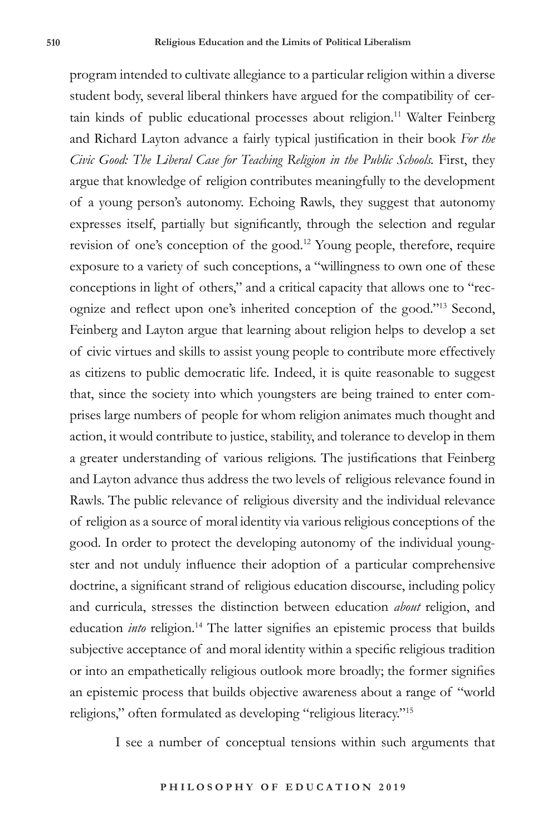program intended to cultivate allegiance to a particular religion within a diverse student body, several liberal thinkers have argued for the compatibility of certain kinds of public educational processes about religion.<sup>11</sup> Walter Feinberg and Richard Layton advance a fairly typical justification in their book *For the Civic Good: The Liberal Case for Teaching Religion in the Public Schools.* First, they argue that knowledge of religion contributes meaningfully to the development of a young person's autonomy. Echoing Rawls, they suggest that autonomy expresses itself, partially but significantly, through the selection and regular revision of one's conception of the good.12 Young people, therefore, require exposure to a variety of such conceptions, a "willingness to own one of these conceptions in light of others," and a critical capacity that allows one to "recognize and reflect upon one's inherited conception of the good."<sup>13</sup> Second, Feinberg and Layton argue that learning about religion helps to develop a set of civic virtues and skills to assist young people to contribute more effectively as citizens to public democratic life. Indeed, it is quite reasonable to suggest that, since the society into which youngsters are being trained to enter comprises large numbers of people for whom religion animates much thought and action, it would contribute to justice, stability, and tolerance to develop in them a greater understanding of various religions. The justifications that Feinberg and Layton advance thus address the two levels of religious relevance found in Rawls. The public relevance of religious diversity and the individual relevance of religion as a source of moral identity via various religious conceptions of the good. In order to protect the developing autonomy of the individual youngster and not unduly influence their adoption of a particular comprehensive doctrine, a significant strand of religious education discourse, including policy and curricula, stresses the distinction between education *about* religion, and education *into* religion.<sup>14</sup> The latter signifies an epistemic process that builds subjective acceptance of and moral identity within a specific religious tradition or into an empathetically religious outlook more broadly; the former signifies an epistemic process that builds objective awareness about a range of "world religions," often formulated as developing "religious literacy."15

I see a number of conceptual tensions within such arguments that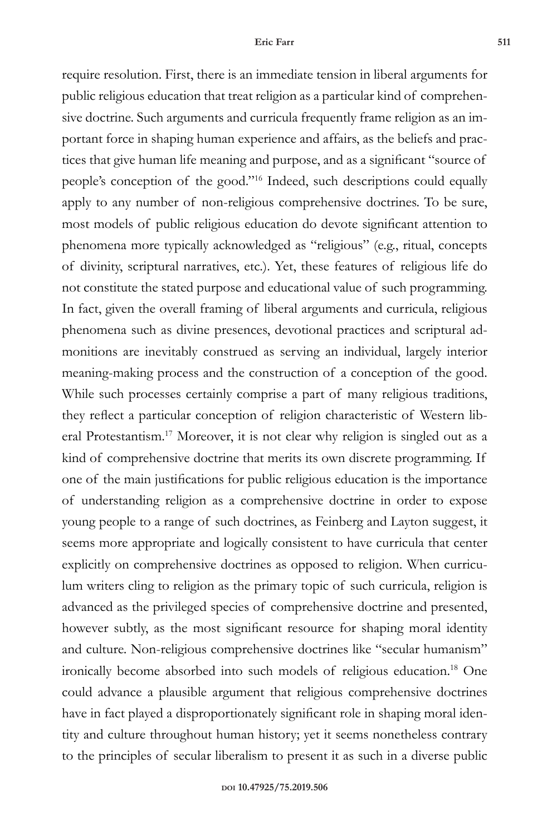require resolution. First, there is an immediate tension in liberal arguments for public religious education that treat religion as a particular kind of comprehensive doctrine. Such arguments and curricula frequently frame religion as an important force in shaping human experience and affairs, as the beliefs and practices that give human life meaning and purpose, and as a significant "source of people's conception of the good."16 Indeed, such descriptions could equally apply to any number of non-religious comprehensive doctrines. To be sure, most models of public religious education do devote significant attention to phenomena more typically acknowledged as "religious" (e.g., ritual, concepts of divinity, scriptural narratives, etc.). Yet, these features of religious life do not constitute the stated purpose and educational value of such programming. In fact, given the overall framing of liberal arguments and curricula, religious phenomena such as divine presences, devotional practices and scriptural admonitions are inevitably construed as serving an individual, largely interior meaning-making process and the construction of a conception of the good. While such processes certainly comprise a part of many religious traditions, they reflect a particular conception of religion characteristic of Western liberal Protestantism.17 Moreover, it is not clear why religion is singled out as a kind of comprehensive doctrine that merits its own discrete programming. If one of the main justifications for public religious education is the importance of understanding religion as a comprehensive doctrine in order to expose young people to a range of such doctrines, as Feinberg and Layton suggest, it seems more appropriate and logically consistent to have curricula that center explicitly on comprehensive doctrines as opposed to religion. When curriculum writers cling to religion as the primary topic of such curricula, religion is advanced as the privileged species of comprehensive doctrine and presented, however subtly, as the most significant resource for shaping moral identity and culture. Non-religious comprehensive doctrines like "secular humanism" ironically become absorbed into such models of religious education.18 One could advance a plausible argument that religious comprehensive doctrines have in fact played a disproportionately significant role in shaping moral identity and culture throughout human history; yet it seems nonetheless contrary to the principles of secular liberalism to present it as such in a diverse public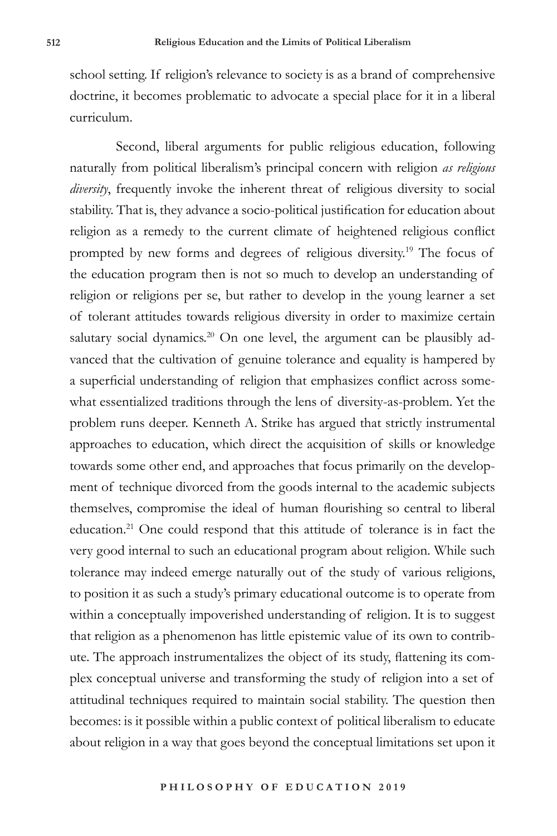school setting. If religion's relevance to society is as a brand of comprehensive doctrine, it becomes problematic to advocate a special place for it in a liberal curriculum.

Second, liberal arguments for public religious education, following naturally from political liberalism's principal concern with religion *as religious diversity*, frequently invoke the inherent threat of religious diversity to social stability. That is, they advance a socio-political justification for education about religion as a remedy to the current climate of heightened religious conflict prompted by new forms and degrees of religious diversity.19 The focus of the education program then is not so much to develop an understanding of religion or religions per se, but rather to develop in the young learner a set of tolerant attitudes towards religious diversity in order to maximize certain salutary social dynamics.<sup>20</sup> On one level, the argument can be plausibly advanced that the cultivation of genuine tolerance and equality is hampered by a superficial understanding of religion that emphasizes conflict across somewhat essentialized traditions through the lens of diversity-as-problem. Yet the problem runs deeper. Kenneth A. Strike has argued that strictly instrumental approaches to education, which direct the acquisition of skills or knowledge towards some other end, and approaches that focus primarily on the development of technique divorced from the goods internal to the academic subjects themselves, compromise the ideal of human flourishing so central to liberal education.21 One could respond that this attitude of tolerance is in fact the very good internal to such an educational program about religion. While such tolerance may indeed emerge naturally out of the study of various religions, to position it as such a study's primary educational outcome is to operate from within a conceptually impoverished understanding of religion. It is to suggest that religion as a phenomenon has little epistemic value of its own to contribute. The approach instrumentalizes the object of its study, flattening its complex conceptual universe and transforming the study of religion into a set of attitudinal techniques required to maintain social stability. The question then becomes: is it possible within a public context of political liberalism to educate about religion in a way that goes beyond the conceptual limitations set upon it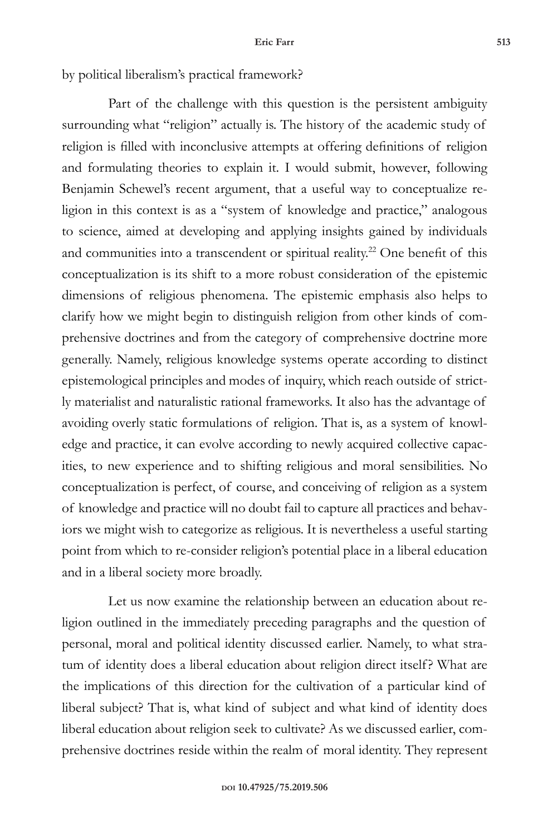by political liberalism's practical framework?

Part of the challenge with this question is the persistent ambiguity surrounding what "religion" actually is. The history of the academic study of religion is filled with inconclusive attempts at offering definitions of religion and formulating theories to explain it. I would submit, however, following Benjamin Schewel's recent argument, that a useful way to conceptualize religion in this context is as a "system of knowledge and practice," analogous to science, aimed at developing and applying insights gained by individuals and communities into a transcendent or spiritual reality.<sup>22</sup> One benefit of this conceptualization is its shift to a more robust consideration of the epistemic dimensions of religious phenomena. The epistemic emphasis also helps to clarify how we might begin to distinguish religion from other kinds of comprehensive doctrines and from the category of comprehensive doctrine more generally. Namely, religious knowledge systems operate according to distinct epistemological principles and modes of inquiry, which reach outside of strictly materialist and naturalistic rational frameworks. It also has the advantage of avoiding overly static formulations of religion. That is, as a system of knowledge and practice, it can evolve according to newly acquired collective capacities, to new experience and to shifting religious and moral sensibilities. No conceptualization is perfect, of course, and conceiving of religion as a system of knowledge and practice will no doubt fail to capture all practices and behaviors we might wish to categorize as religious. It is nevertheless a useful starting point from which to re-consider religion's potential place in a liberal education and in a liberal society more broadly.

Let us now examine the relationship between an education about religion outlined in the immediately preceding paragraphs and the question of personal, moral and political identity discussed earlier. Namely, to what stratum of identity does a liberal education about religion direct itself? What are the implications of this direction for the cultivation of a particular kind of liberal subject? That is, what kind of subject and what kind of identity does liberal education about religion seek to cultivate? As we discussed earlier, comprehensive doctrines reside within the realm of moral identity. They represent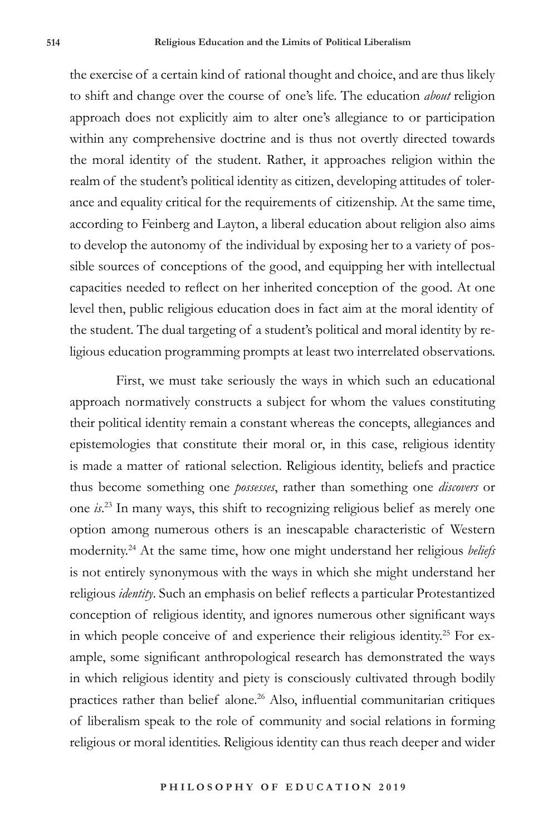the exercise of a certain kind of rational thought and choice, and are thus likely to shift and change over the course of one's life. The education *about* religion approach does not explicitly aim to alter one's allegiance to or participation within any comprehensive doctrine and is thus not overtly directed towards the moral identity of the student. Rather, it approaches religion within the realm of the student's political identity as citizen, developing attitudes of tolerance and equality critical for the requirements of citizenship. At the same time, according to Feinberg and Layton, a liberal education about religion also aims to develop the autonomy of the individual by exposing her to a variety of possible sources of conceptions of the good, and equipping her with intellectual capacities needed to reflect on her inherited conception of the good. At one level then, public religious education does in fact aim at the moral identity of the student. The dual targeting of a student's political and moral identity by religious education programming prompts at least two interrelated observations.

First, we must take seriously the ways in which such an educational approach normatively constructs a subject for whom the values constituting their political identity remain a constant whereas the concepts, allegiances and epistemologies that constitute their moral or, in this case, religious identity is made a matter of rational selection. Religious identity, beliefs and practice thus become something one *possesses*, rather than something one *discovers* or one *is*. 23 In many ways, this shift to recognizing religious belief as merely one option among numerous others is an inescapable characteristic of Western modernity.24 At the same time, how one might understand her religious *beliefs* is not entirely synonymous with the ways in which she might understand her religious *identity*. Such an emphasis on belief reflects a particular Protestantized conception of religious identity, and ignores numerous other significant ways in which people conceive of and experience their religious identity.<sup>25</sup> For example, some significant anthropological research has demonstrated the ways in which religious identity and piety is consciously cultivated through bodily practices rather than belief alone.<sup>26</sup> Also, influential communitarian critiques of liberalism speak to the role of community and social relations in forming religious or moral identities. Religious identity can thus reach deeper and wider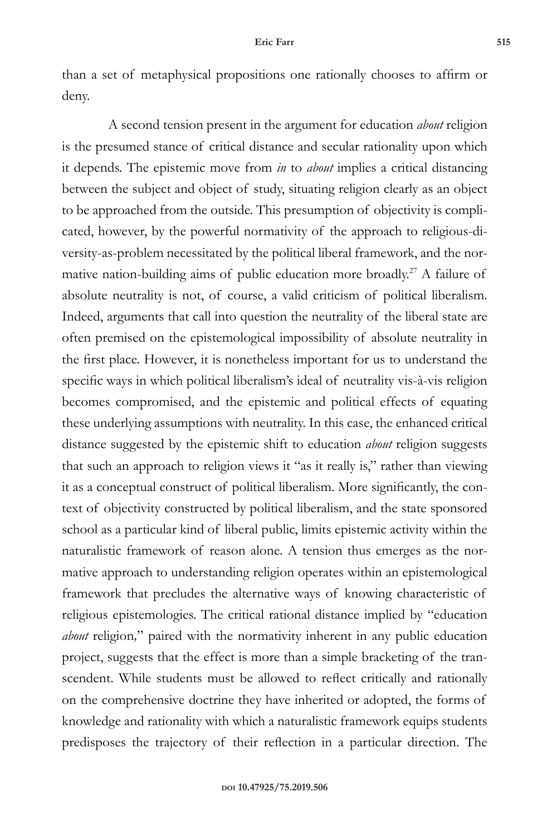than a set of metaphysical propositions one rationally chooses to affirm or deny.

A second tension present in the argument for education *about* religion is the presumed stance of critical distance and secular rationality upon which it depends. The epistemic move from *in* to *about* implies a critical distancing between the subject and object of study, situating religion clearly as an object to be approached from the outside. This presumption of objectivity is complicated, however, by the powerful normativity of the approach to religious-diversity-as-problem necessitated by the political liberal framework, and the normative nation-building aims of public education more broadly.<sup>27</sup> A failure of absolute neutrality is not, of course, a valid criticism of political liberalism. Indeed, arguments that call into question the neutrality of the liberal state are often premised on the epistemological impossibility of absolute neutrality in the first place. However, it is nonetheless important for us to understand the specific ways in which political liberalism's ideal of neutrality vis-à-vis religion becomes compromised, and the epistemic and political effects of equating these underlying assumptions with neutrality. In this case, the enhanced critical distance suggested by the epistemic shift to education *about* religion suggests that such an approach to religion views it "as it really is," rather than viewing it as a conceptual construct of political liberalism. More significantly, the context of objectivity constructed by political liberalism, and the state sponsored school as a particular kind of liberal public, limits epistemic activity within the naturalistic framework of reason alone. A tension thus emerges as the normative approach to understanding religion operates within an epistemological framework that precludes the alternative ways of knowing characteristic of religious epistemologies. The critical rational distance implied by "education *about* religion*,*" paired with the normativity inherent in any public education project, suggests that the effect is more than a simple bracketing of the transcendent. While students must be allowed to reflect critically and rationally on the comprehensive doctrine they have inherited or adopted, the forms of knowledge and rationality with which a naturalistic framework equips students predisposes the trajectory of their reflection in a particular direction. The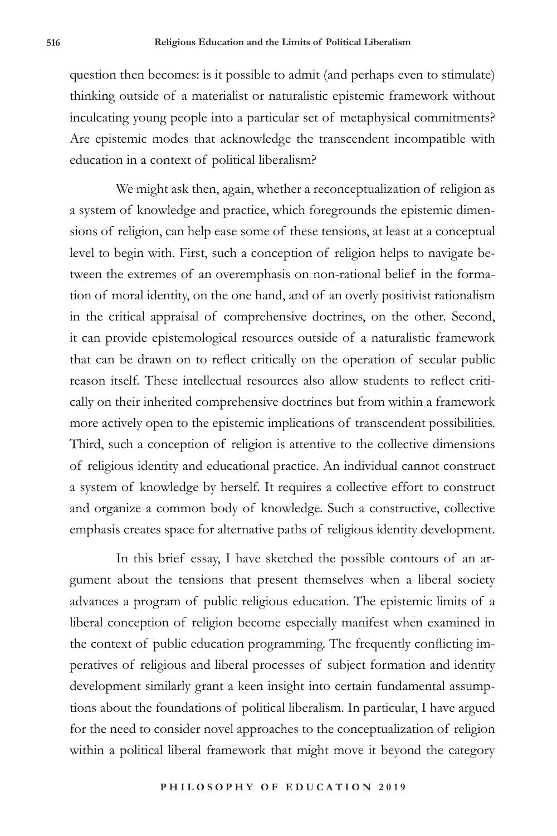question then becomes: is it possible to admit (and perhaps even to stimulate) thinking outside of a materialist or naturalistic epistemic framework without inculcating young people into a particular set of metaphysical commitments? Are epistemic modes that acknowledge the transcendent incompatible with education in a context of political liberalism?

We might ask then, again, whether a reconceptualization of religion as a system of knowledge and practice, which foregrounds the epistemic dimensions of religion, can help ease some of these tensions, at least at a conceptual level to begin with. First, such a conception of religion helps to navigate between the extremes of an overemphasis on non-rational belief in the formation of moral identity, on the one hand, and of an overly positivist rationalism in the critical appraisal of comprehensive doctrines, on the other. Second, it can provide epistemological resources outside of a naturalistic framework that can be drawn on to reflect critically on the operation of secular public reason itself. These intellectual resources also allow students to reflect critically on their inherited comprehensive doctrines but from within a framework more actively open to the epistemic implications of transcendent possibilities. Third, such a conception of religion is attentive to the collective dimensions of religious identity and educational practice. An individual cannot construct a system of knowledge by herself. It requires a collective effort to construct and organize a common body of knowledge. Such a constructive, collective emphasis creates space for alternative paths of religious identity development.

In this brief essay, I have sketched the possible contours of an argument about the tensions that present themselves when a liberal society advances a program of public religious education. The epistemic limits of a liberal conception of religion become especially manifest when examined in the context of public education programming. The frequently conflicting imperatives of religious and liberal processes of subject formation and identity development similarly grant a keen insight into certain fundamental assumptions about the foundations of political liberalism. In particular, I have argued for the need to consider novel approaches to the conceptualization of religion within a political liberal framework that might move it beyond the category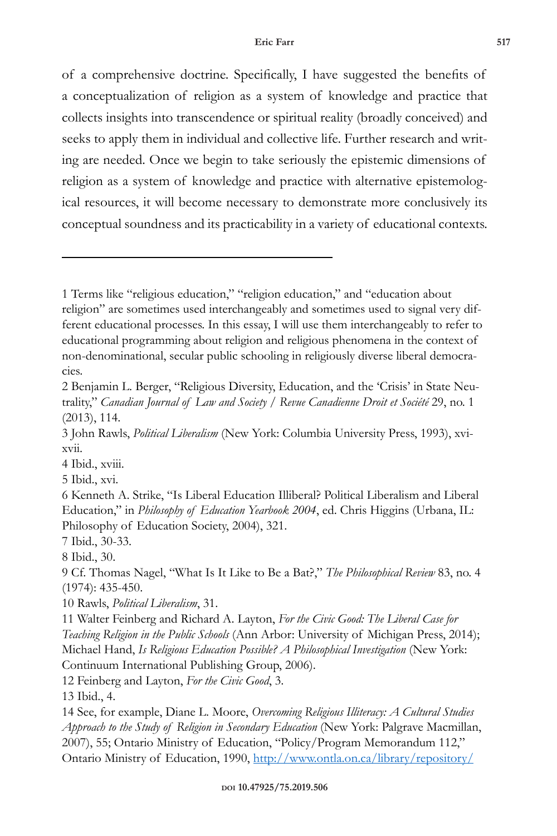of a comprehensive doctrine. Specifically, I have suggested the benefits of a conceptualization of religion as a system of knowledge and practice that collects insights into transcendence or spiritual reality (broadly conceived) and seeks to apply them in individual and collective life. Further research and writing are needed. Once we begin to take seriously the epistemic dimensions of religion as a system of knowledge and practice with alternative epistemological resources, it will become necessary to demonstrate more conclusively its conceptual soundness and its practicability in a variety of educational contexts.

4 Ibid., xviii.

5 Ibid., xvi.

6 Kenneth A. Strike, "Is Liberal Education Illiberal? Political Liberalism and Liberal Education," in *Philosophy of Education Yearbook 2004*, ed. Chris Higgins (Urbana, IL: Philosophy of Education Society, 2004), 321.

7 Ibid., 30-33.

8 Ibid., 30.

9 Cf. Thomas Nagel, "What Is It Like to Be a Bat?," *The Philosophical Review* 83, no. 4 (1974): 435-450.

10 Rawls, *Political Liberalism*, 31.

11 Walter Feinberg and Richard A. Layton, *For the Civic Good: The Liberal Case for Teaching Religion in the Public Schools* (Ann Arbor: University of Michigan Press, 2014); Michael Hand, *Is Religious Education Possible? A Philosophical Investigation* (New York: Continuum International Publishing Group, 2006).

12 Feinberg and Layton, *For the Civic Good*, 3.

13 Ibid., 4.

14 See, for example, Diane L. Moore, *Overcoming Religious Illiteracy: A Cultural Studies Approach to the Study of Religion in Secondary Education* (New York: Palgrave Macmillan, 2007), 55; Ontario Ministry of Education, "Policy/Program Memorandum 112," Ontario Ministry of Education, 1990, http://www.ontla.on.ca/library/repository/

<sup>1</sup> Terms like "religious education," "religion education," and "education about religion" are sometimes used interchangeably and sometimes used to signal very different educational processes. In this essay, I will use them interchangeably to refer to educational programming about religion and religious phenomena in the context of non-denominational, secular public schooling in religiously diverse liberal democracies.

<sup>2</sup> Benjamin L. Berger, "Religious Diversity, Education, and the 'Crisis' in State Neutrality," *Canadian Journal of Law and Society / Revue Canadienne Droit et Société* 29, no. 1 (2013), 114.

<sup>3</sup> John Rawls, *Political Liberalism* (New York: Columbia University Press, 1993), xvixvii.